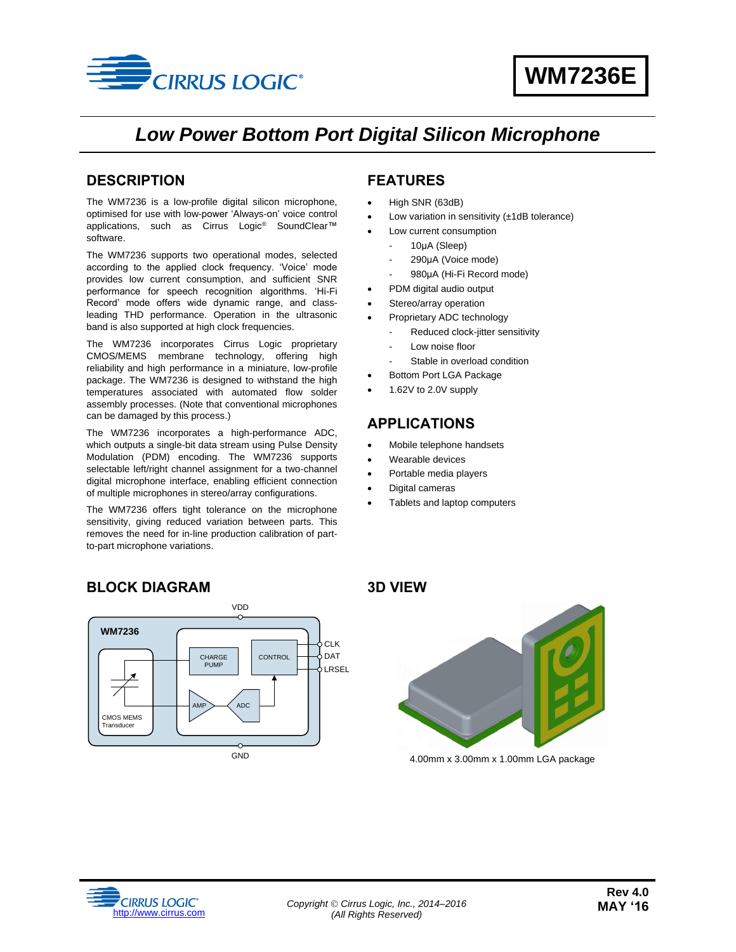

# *Low Power Bottom Port Digital Silicon Microphone*

### <span id="page-0-0"></span>**DESCRIPTION**

The WM7236 is a low-profile digital silicon microphone, optimised for use with low-power 'Always-on' voice control applications, such as Cirrus Logic® SoundClear™ software.

The WM7236 supports two operational modes, selected according to the applied clock frequency. 'Voice' mode provides low current consumption, and sufficient SNR performance for speech recognition algorithms. 'Hi-Fi Record' mode offers wide dynamic range, and classleading THD performance. Operation in the ultrasonic band is also supported at high clock frequencies.

The WM7236 incorporates Cirrus Logic proprietary CMOS/MEMS membrane technology, offering high reliability and high performance in a miniature, low-profile package. The WM7236 is designed to withstand the high temperatures associated with automated flow solder assembly processes. (Note that conventional microphones can be damaged by this process.)

The WM7236 incorporates a high-performance ADC, which outputs a single-bit data stream using Pulse Density Modulation (PDM) encoding. The WM7236 supports selectable left/right channel assignment for a two-channel digital microphone interface, enabling efficient connection of multiple microphones in stereo/array configurations.

The WM7236 offers tight tolerance on the microphone sensitivity, giving reduced variation between parts. This removes the need for in-line production calibration of partto-part microphone variations.

## <span id="page-0-1"></span>**FEATURES**

- High SNR (63dB)
- Low variation in sensitivity (±1dB tolerance)
- Low current consumption
	- 10μA (Sleep)
	- 290μA (Voice mode)
	- 980μA (Hi-Fi Record mode)
- PDM digital audio output
- Stereo/array operation
- Proprietary ADC technology
- Reduced clock-jitter sensitivity
- Low noise floor
- Stable in overload condition
- Bottom Port LGA Package
- 1.62V to 2.0V supply

## <span id="page-0-2"></span>**APPLICATIONS**

- Mobile telephone handsets
- Wearable devices
- Portable media players
- Digital cameras
- Tablets and laptop computers

## <span id="page-0-3"></span>**BLOCK DIAGRAM**



<span id="page-0-4"></span>

4.00mm x 3.00mm x 1.00mm LGA package

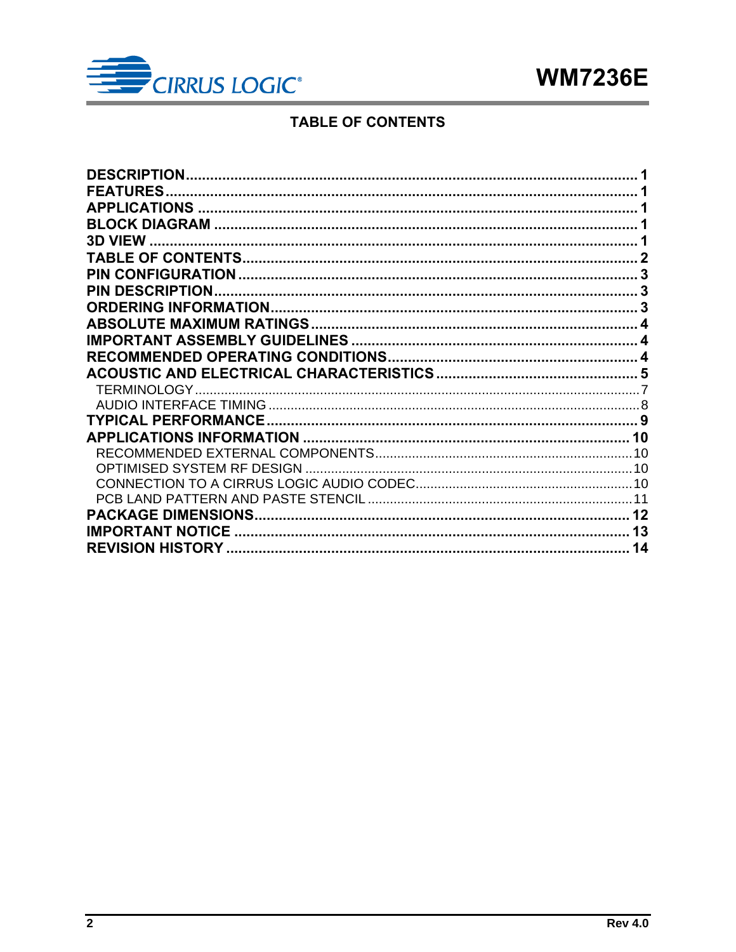

## **TABLE OF CONTENTS**

<span id="page-1-0"></span>

| <b>DESCRIPTION</b>      |    |
|-------------------------|----|
| <b>FEATURES</b>         |    |
|                         |    |
|                         |    |
|                         |    |
|                         |    |
|                         |    |
|                         |    |
|                         |    |
|                         |    |
|                         |    |
|                         |    |
|                         |    |
|                         |    |
|                         |    |
|                         |    |
|                         |    |
|                         |    |
|                         |    |
|                         |    |
|                         |    |
|                         |    |
| <b>IMPORTANT NOTICE</b> | 13 |
|                         | 14 |
|                         |    |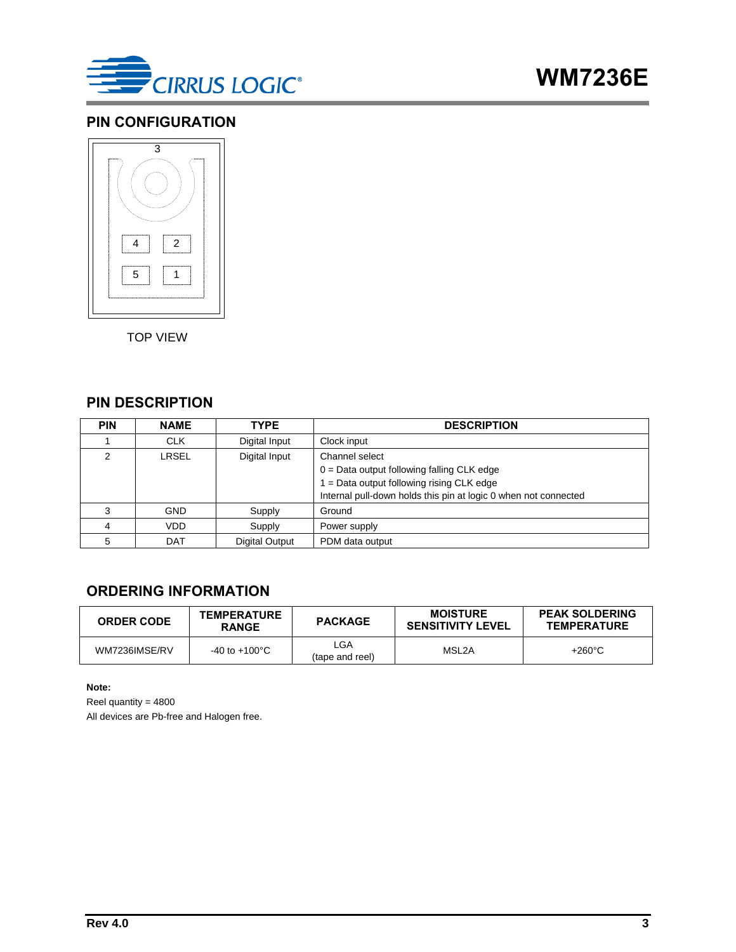

### <span id="page-2-0"></span>**PIN CONFIGURATION**



TOP VIEW

## <span id="page-2-1"></span>**PIN DESCRIPTION**

| <b>PIN</b> | <b>NAME</b> | <b>TYPE</b>    | <b>DESCRIPTION</b>                                                                                                                                                             |
|------------|-------------|----------------|--------------------------------------------------------------------------------------------------------------------------------------------------------------------------------|
|            | <b>CLK</b>  | Digital Input  | Clock input                                                                                                                                                                    |
| ◠          | LRSEL       | Digital Input  | Channel select<br>$0 = Data$ output following falling CLK edge<br>1 = Data output following rising CLK edge<br>Internal pull-down holds this pin at logic 0 when not connected |
| 3          | <b>GND</b>  | Supply         | Ground                                                                                                                                                                         |
|            | <b>VDD</b>  | Supply         | Power supply                                                                                                                                                                   |
| 5          | <b>DAT</b>  | Digital Output | PDM data output                                                                                                                                                                |

## <span id="page-2-2"></span>**ORDERING INFORMATION**

| <b>ORDER CODE</b> | <b>TEMPERATURE</b><br><b>RANGE</b> | <b>PACKAGE</b>         | <b>MOISTURE</b><br><b>SENSITIVITY LEVEL</b> | <b>PEAK SOLDERING</b><br><b>TEMPERATURE</b> |
|-------------------|------------------------------------|------------------------|---------------------------------------------|---------------------------------------------|
| WM7236IMSE/RV     | $-40$ to $+100^{\circ}$ C          | LGA<br>(tape and reel) | MSL2A                                       | $+260^{\circ}$ C                            |

**Note:**

Reel quantity = 4800 All devices are Pb-free and Halogen free.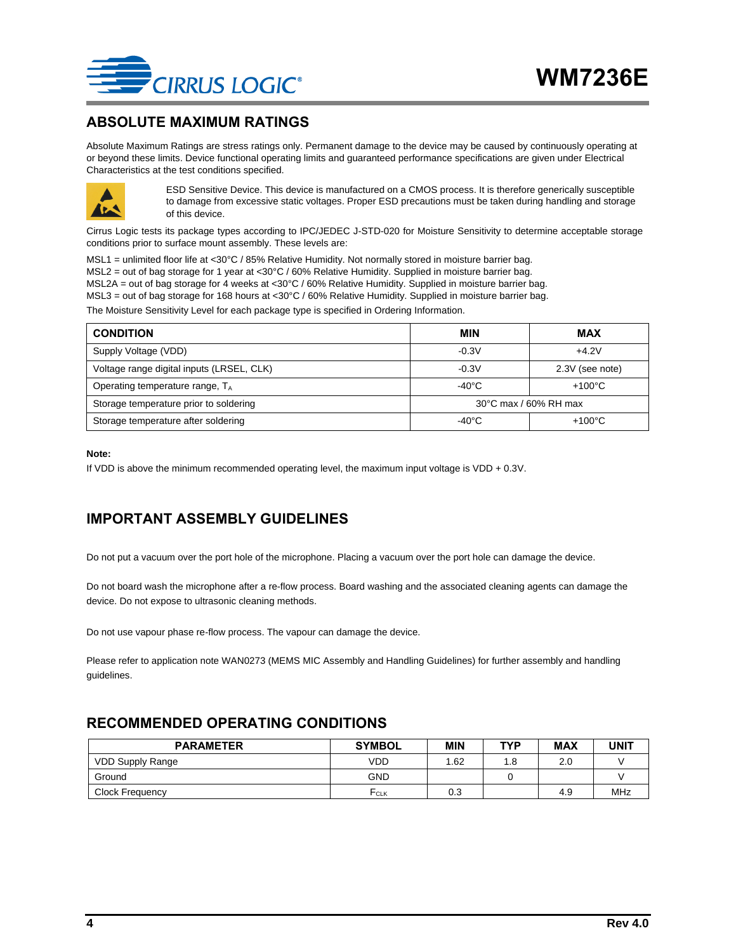

#### <span id="page-3-0"></span>**ABSOLUTE MAXIMUM RATINGS**

Absolute Maximum Ratings are stress ratings only. Permanent damage to the device may be caused by continuously operating at or beyond these limits. Device functional operating limits and guaranteed performance specifications are given under Electrical Characteristics at the test conditions specified.



ESD Sensitive Device. This device is manufactured on a CMOS process. It is therefore generically susceptible to damage from excessive static voltages. Proper ESD precautions must be taken during handling and storage of this device.

Cirrus Logic tests its package types according to IPC/JEDEC J-STD-020 for Moisture Sensitivity to determine acceptable storage conditions prior to surface mount assembly. These levels are:

MSL1 = unlimited floor life at <30°C / 85% Relative Humidity. Not normally stored in moisture barrier bag. MSL2 = out of bag storage for 1 year at <30°C / 60% Relative Humidity. Supplied in moisture barrier bag. MSL2A = out of bag storage for 4 weeks at <30°C / 60% Relative Humidity. Supplied in moisture barrier bag. MSL3 = out of bag storage for 168 hours at <30°C / 60% Relative Humidity. Supplied in moisture barrier bag.

The Moisture Sensitivity Level for each package type is specified in Ordering Information.

| <b>CONDITION</b>                          | MIN                   | <b>MAX</b>       |  |
|-------------------------------------------|-----------------------|------------------|--|
| Supply Voltage (VDD)                      | $-0.3V$               | $+4.2V$          |  |
| Voltage range digital inputs (LRSEL, CLK) | $-0.3V$               | 2.3V (see note)  |  |
| Operating temperature range, $T_A$        | $-40^{\circ}$ C       | $+100^{\circ}$ C |  |
| Storage temperature prior to soldering    | 30°C max / 60% RH max |                  |  |
| Storage temperature after soldering       | $-40^{\circ}$ C       | $+100^{\circ}$ C |  |

#### **Note:**

If VDD is above the minimum recommended operating level, the maximum input voltage is VDD + 0.3V.

## <span id="page-3-1"></span>**IMPORTANT ASSEMBLY GUIDELINES**

Do not put a vacuum over the port hole of the microphone. Placing a vacuum over the port hole can damage the device.

Do not board wash the microphone after a re-flow process. Board washing and the associated cleaning agents can damage the device. Do not expose to ultrasonic cleaning methods.

Do not use vapour phase re-flow process. The vapour can damage the device.

Please refer to application note WAN0273 (MEMS MIC Assembly and Handling Guidelines) for further assembly and handling guidelines.

### <span id="page-3-2"></span>**RECOMMENDED OPERATING CONDITIONS**

| <b>PARAMETER</b>        | <b>SYMBOL</b> | <b>MIN</b> | <b>TYP</b> | <b>MAX</b> | <b>UNIT</b> |
|-------------------------|---------------|------------|------------|------------|-------------|
| <b>VDD Supply Range</b> | VDD           | .62        | 1.8        | 2.0        |             |
| Ground                  | <b>GND</b>    |            |            |            |             |
| Clock Frequency         | $F_{CLK}$     | 0.3        |            | 4.9        | MHz         |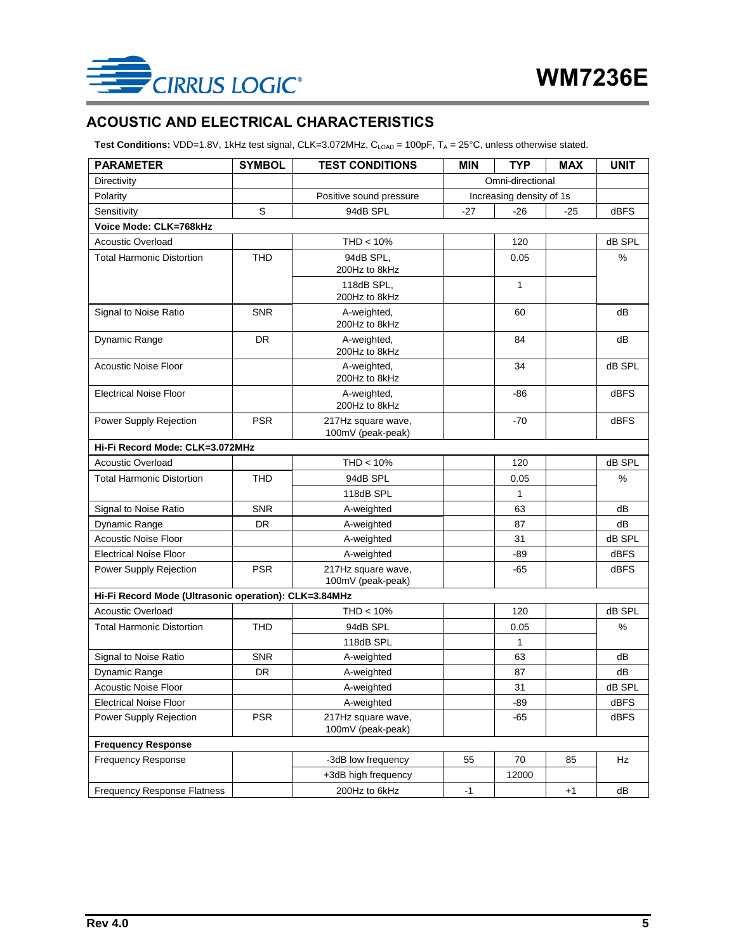

## <span id="page-4-0"></span>**ACOUSTIC AND ELECTRICAL CHARACTERISTICS**

Test Conditions: VDD=1.8V, 1kHz test signal, CLK=3.072MHz, C<sub>LOAD</sub> = 100pF, T<sub>A</sub> = 25°C, unless otherwise stated.

| <b>PARAMETER</b>                                      | <b>SYMBOL</b> | <b>TEST CONDITIONS</b>                  | <b>MIN</b>       | <b>TYP</b>               | <b>MAX</b> | <b>UNIT</b> |
|-------------------------------------------------------|---------------|-----------------------------------------|------------------|--------------------------|------------|-------------|
| Directivity                                           |               |                                         | Omni-directional |                          |            |             |
| Polarity                                              |               | Positive sound pressure                 |                  | Increasing density of 1s |            |             |
| Sensitivity                                           | S             | 94dB SPL                                | $-27$            | $-26$                    | $-25$      | <b>dBFS</b> |
| Voice Mode: CLK=768kHz                                |               |                                         |                  |                          |            |             |
| <b>Acoustic Overload</b>                              |               | THD < 10%                               |                  | 120                      |            | dB SPL      |
| <b>Total Harmonic Distortion</b>                      | <b>THD</b>    | 94dB SPL,<br>200Hz to 8kHz              |                  | 0.05                     |            | %           |
|                                                       |               | 118dB SPL,<br>200Hz to 8kHz             |                  | 1                        |            |             |
| Signal to Noise Ratio                                 | <b>SNR</b>    | A-weighted,<br>200Hz to 8kHz            |                  | 60                       |            | dB          |
| Dynamic Range                                         | DR.           | A-weighted,<br>200Hz to 8kHz            |                  | 84                       |            | dB          |
| <b>Acoustic Noise Floor</b>                           |               | A-weighted,<br>200Hz to 8kHz            |                  | 34                       |            | dB SPL      |
| <b>Electrical Noise Floor</b>                         |               | A-weighted,<br>200Hz to 8kHz            |                  | $-86$                    |            | <b>dBFS</b> |
| Power Supply Rejection                                | <b>PSR</b>    | 217Hz square wave,<br>100mV (peak-peak) |                  | $-70$                    |            | <b>dBFS</b> |
| Hi-Fi Record Mode: CLK=3.072MHz                       |               |                                         |                  |                          |            |             |
| <b>Acoustic Overload</b>                              |               | $THD < 10\%$                            |                  | 120                      |            | dB SPL      |
| <b>Total Harmonic Distortion</b>                      | <b>THD</b>    | 94dB SPL                                |                  | 0.05                     |            | %           |
|                                                       |               | 118dB SPL                               |                  | 1                        |            |             |
| Signal to Noise Ratio                                 | <b>SNR</b>    | A-weighted                              |                  | 63                       |            | dB          |
| Dynamic Range                                         | <b>DR</b>     | A-weighted                              |                  | 87                       |            | dB          |
| <b>Acoustic Noise Floor</b>                           |               | A-weighted                              |                  | 31                       |            | dB SPL      |
| <b>Electrical Noise Floor</b>                         |               | A-weighted                              |                  | -89                      |            | <b>dBFS</b> |
| Power Supply Rejection                                | <b>PSR</b>    | 217Hz square wave,<br>100mV (peak-peak) |                  | -65                      |            | <b>dBFS</b> |
| Hi-Fi Record Mode (Ultrasonic operation): CLK=3.84MHz |               |                                         |                  |                          |            |             |
| <b>Acoustic Overload</b>                              |               | $THD < 10\%$                            |                  | 120                      |            | dB SPL      |
| <b>Total Harmonic Distortion</b>                      | <b>THD</b>    | 94dB SPL                                |                  | 0.05                     |            | %           |
|                                                       |               | 118dB SPL                               |                  | 1                        |            |             |
| Signal to Noise Ratio                                 | <b>SNR</b>    | A-weighted                              |                  | 63                       |            | dB          |
| Dynamic Range                                         | <b>DR</b>     | A-weighted                              |                  | 87                       |            | dB          |
| <b>Acoustic Noise Floor</b>                           |               | A-weighted                              |                  | 31                       |            | dB SPL      |
| <b>Electrical Noise Floor</b>                         |               | A-weighted                              |                  | -89                      |            | dBFS        |
| Power Supply Rejection                                | <b>PSR</b>    | 217Hz square wave,<br>100mV (peak-peak) |                  | -65                      |            | dBFS        |
| <b>Frequency Response</b>                             |               |                                         |                  |                          |            |             |
| <b>Frequency Response</b>                             |               | -3dB low frequency                      | 55               | 70                       | 85         | Hz          |
| <b>Frequency Response Flatness</b>                    |               | +3dB high frequency<br>200Hz to 6kHz    | $-1$             | 12000                    | $+1$       | dB          |
|                                                       |               |                                         |                  |                          |            |             |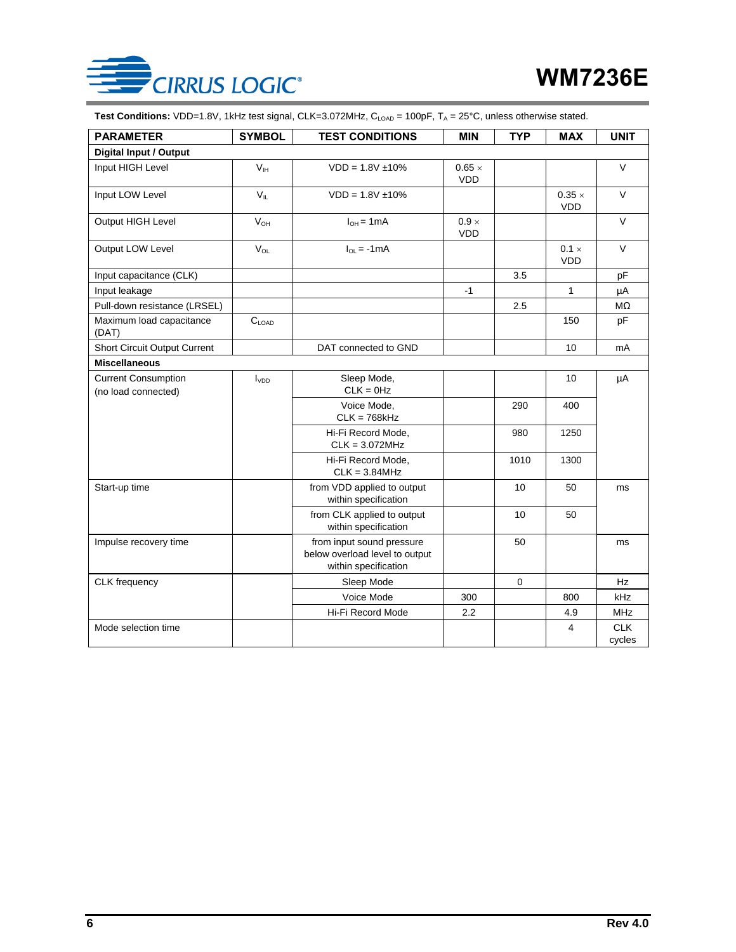

Test Conditions: VDD=1.8V, 1kHz test signal, CLK=3.072MHz, C<sub>LOAD</sub> = 100pF, T<sub>A</sub> = 25°C, unless otherwise stated.

| <b>PARAMETER</b>                                  | <b>SYMBOL</b>     | <b>TEST CONDITIONS</b>                                                              | <b>MIN</b>                  | <b>TYP</b>  | <b>MAX</b>                  | <b>UNIT</b>          |
|---------------------------------------------------|-------------------|-------------------------------------------------------------------------------------|-----------------------------|-------------|-----------------------------|----------------------|
| <b>Digital Input / Output</b>                     |                   |                                                                                     |                             |             |                             |                      |
| Input HIGH Level                                  | V <sub>IH</sub>   | $VDD = 1.8V \pm 10\%$                                                               | $0.65 \times$<br><b>VDD</b> |             |                             | $\vee$               |
| Input LOW Level                                   | $V_{\parallel}$   | $VDD = 1.8V \pm 10\%$                                                               |                             |             | $0.35 \times$<br><b>VDD</b> | $\vee$               |
| Output HIGH Level                                 | $V_{OH}$          | $I_{OH} = 1mA$                                                                      | $0.9 \times$<br><b>VDD</b>  |             |                             | $\vee$               |
| Output LOW Level                                  | $V_{OL}$          | $I_{OL} = -1mA$                                                                     |                             |             | $0.1 \times$<br><b>VDD</b>  | $\vee$               |
| Input capacitance (CLK)                           |                   |                                                                                     |                             | 3.5         |                             | pF                   |
| Input leakage                                     |                   |                                                                                     | $-1$                        |             | $\mathbf{1}$                | μA                   |
| Pull-down resistance (LRSEL)                      |                   |                                                                                     |                             | 2.5         |                             | $M\Omega$            |
| Maximum load capacitance<br>(DAT)                 | $C_{\text{LOAD}}$ |                                                                                     |                             |             | 150                         | pF                   |
| <b>Short Circuit Output Current</b>               |                   | DAT connected to GND                                                                |                             |             | 10 <sup>1</sup>             | mA                   |
| <b>Miscellaneous</b>                              |                   |                                                                                     |                             |             |                             |                      |
| <b>Current Consumption</b><br>(no load connected) | $I_{VDD}$         | Sleep Mode,<br>$CLK = 0Hz$                                                          |                             |             | 10                          | μA                   |
|                                                   |                   | Voice Mode,<br>$CLK = 768kHz$                                                       |                             | 290         | 400                         |                      |
|                                                   |                   | Hi-Fi Record Mode,<br>$CLK = 3.072MHz$                                              |                             | 980         | 1250                        |                      |
|                                                   |                   | Hi-Fi Record Mode.<br>$CLK = 3.84MHz$                                               |                             | 1010        | 1300                        |                      |
| Start-up time                                     |                   | from VDD applied to output<br>within specification                                  |                             | 10          | 50                          | ms                   |
|                                                   |                   | from CLK applied to output<br>within specification                                  |                             | 10          | 50                          |                      |
| Impulse recovery time                             |                   | from input sound pressure<br>below overload level to output<br>within specification |                             | 50          |                             | ms                   |
| <b>CLK</b> frequency                              |                   | Sleep Mode                                                                          |                             | $\mathbf 0$ |                             | Hz                   |
|                                                   |                   | Voice Mode                                                                          | 300                         |             | 800                         | <b>kHz</b>           |
|                                                   |                   | Hi-Fi Record Mode                                                                   | 2.2                         |             | 4.9                         | <b>MHz</b>           |
| Mode selection time                               |                   |                                                                                     |                             |             | 4                           | <b>CLK</b><br>cycles |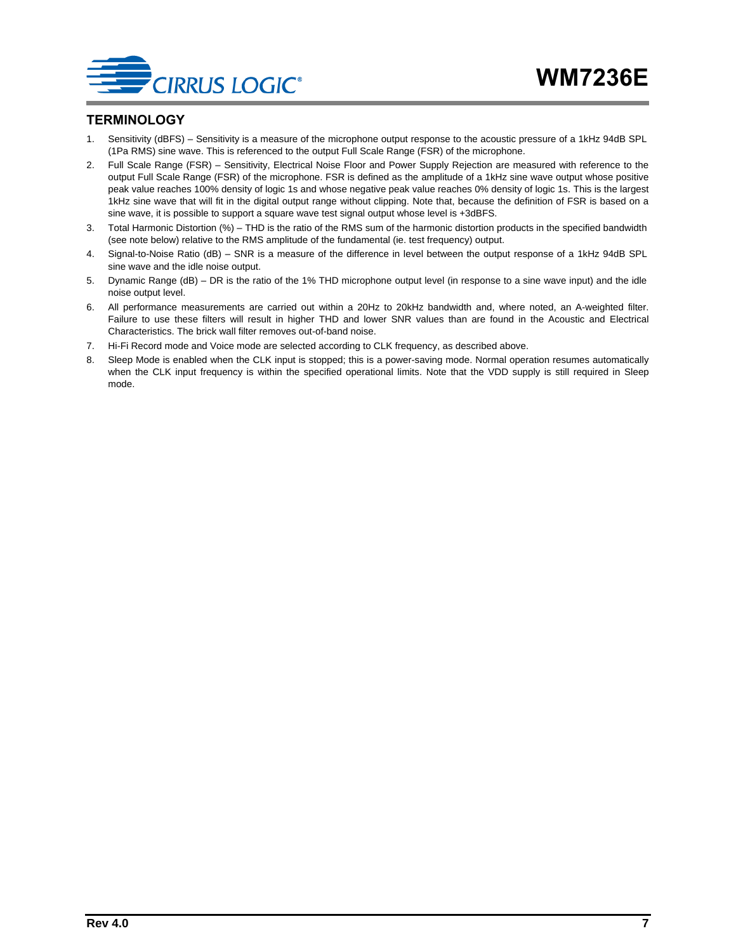

#### <span id="page-6-0"></span>**TERMINOLOGY**

- 1. Sensitivity (dBFS) Sensitivity is a measure of the microphone output response to the acoustic pressure of a 1kHz 94dB SPL (1Pa RMS) sine wave. This is referenced to the output Full Scale Range (FSR) of the microphone.
- 2. Full Scale Range (FSR) Sensitivity, Electrical Noise Floor and Power Supply Rejection are measured with reference to the output Full Scale Range (FSR) of the microphone. FSR is defined as the amplitude of a 1kHz sine wave output whose positive peak value reaches 100% density of logic 1s and whose negative peak value reaches 0% density of logic 1s. This is the largest 1kHz sine wave that will fit in the digital output range without clipping. Note that, because the definition of FSR is based on a sine wave, it is possible to support a square wave test signal output whose level is +3dBFS.
- 3. Total Harmonic Distortion (%) THD is the ratio of the RMS sum of the harmonic distortion products in the specified bandwidth (see note below) relative to the RMS amplitude of the fundamental (ie. test frequency) output.
- 4. Signal-to-Noise Ratio (dB) SNR is a measure of the difference in level between the output response of a 1kHz 94dB SPL sine wave and the idle noise output.
- 5. Dynamic Range (dB) DR is the ratio of the 1% THD microphone output level (in response to a sine wave input) and the idle noise output level.
- 6. All performance measurements are carried out within a 20Hz to 20kHz bandwidth and, where noted, an A-weighted filter. Failure to use these filters will result in higher THD and lower SNR values than are found in the Acoustic and Electrical Characteristics. The brick wall filter removes out-of-band noise.
- 7. Hi-Fi Record mode and Voice mode are selected according to CLK frequency, as described above.
- 8. Sleep Mode is enabled when the CLK input is stopped; this is a power-saving mode. Normal operation resumes automatically when the CLK input frequency is within the specified operational limits. Note that the VDD supply is still required in Sleep mode.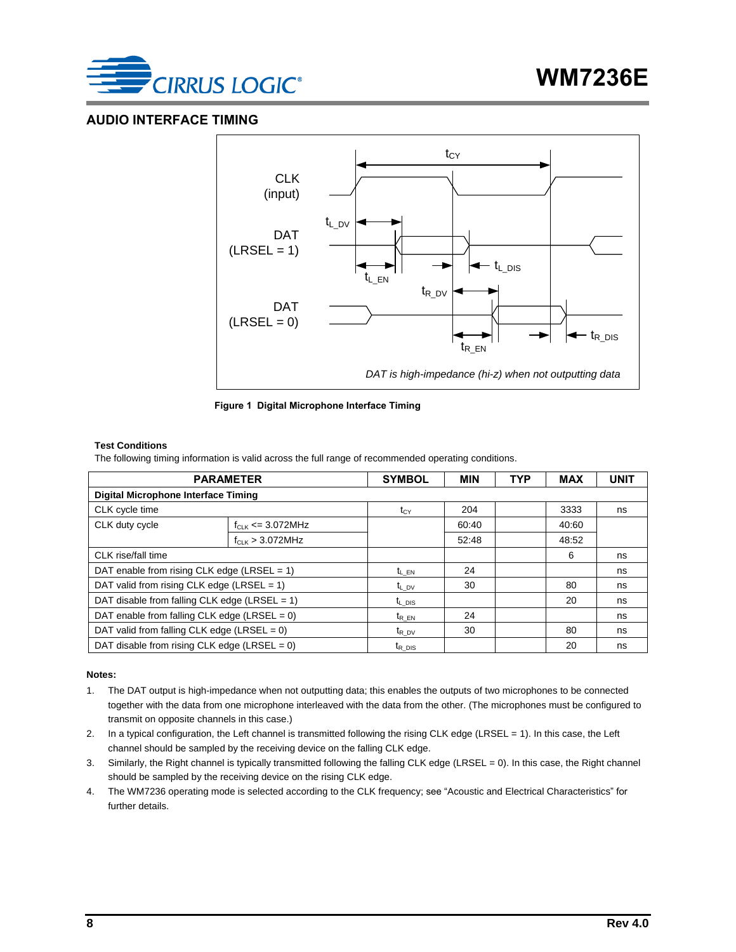

#### <span id="page-7-0"></span>**AUDIO INTERFACE TIMING**





#### **Test Conditions**

The following timing information is valid across the full range of recommended operating conditions.

| <b>PARAMETER</b>                                 | <b>SYMBOL</b>        | <b>MIN</b>         | <b>TYP</b> | <b>MAX</b> | <b>UNIT</b> |    |
|--------------------------------------------------|----------------------|--------------------|------------|------------|-------------|----|
| <b>Digital Microphone Interface Timing</b>       |                      |                    |            |            |             |    |
| CLK cycle time                                   |                      | $t_{CY}$           | 204        |            | 3333        | ns |
| CLK duty cycle<br>$f_{CLK}$ <= 3.072MHz          |                      |                    | 60:40      |            | 40:60       |    |
|                                                  | $f_{CLK}$ > 3.072MHz |                    | 52:48      |            | 48:52       |    |
| CLK rise/fall time                               |                      |                    |            |            | 6           | ns |
| DAT enable from rising CLK edge (LRSEL = 1)      |                      | $t_{LEN}$          | 24         |            |             | ns |
| DAT valid from rising CLK edge (LRSEL = $1$ )    |                      | $t_{L,DV}$         | 30         |            | 80          | ns |
| DAT disable from falling CLK edge (LRSEL = $1$ ) | $t_{L}$ DIS          |                    |            | 20         | ns          |    |
| DAT enable from falling CLK edge (LRSEL = $0$ )  | $t_{REN}$            | 24                 |            |            | ns          |    |
| DAT valid from falling CLK edge (LRSEL = $0$ )   |                      | $t_{R}$ pv         | 30         |            | 80          | ns |
| DAT disable from rising CLK edge (LRSEL = $0$ )  |                      | $t_{R\text{ DIS}}$ |            |            | 20          | ns |

#### **Notes:**

- 1. The DAT output is high-impedance when not outputting data; this enables the outputs of two microphones to be connected together with the data from one microphone interleaved with the data from the other. (The microphones must be configured to transmit on opposite channels in this case.)
- 2. In a typical configuration, the Left channel is transmitted following the rising CLK edge (LRSEL = 1). In this case, the Left channel should be sampled by the receiving device on the falling CLK edge.
- 3. Similarly, the Right channel is typically transmitted following the falling CLK edge (LRSEL = 0). In this case, the Right channel should be sampled by the receiving device on the rising CLK edge.
- 4. The WM7236 operating mode is selected according to the CLK frequency; see ["Acoustic and Electrical Characteristics"](#page-4-0) for further details.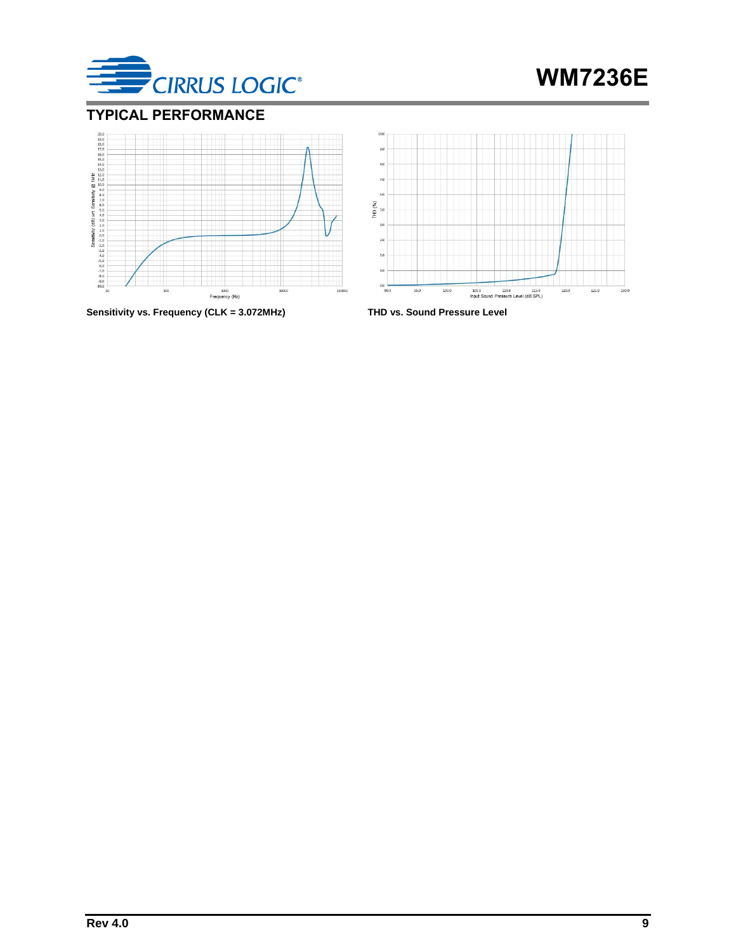

## <span id="page-8-0"></span>**TYPICAL PERFORMANCE**



**Sensitivity vs. Frequency (CLK = 3.072MHz) THD vs. Sound Pressure Level**

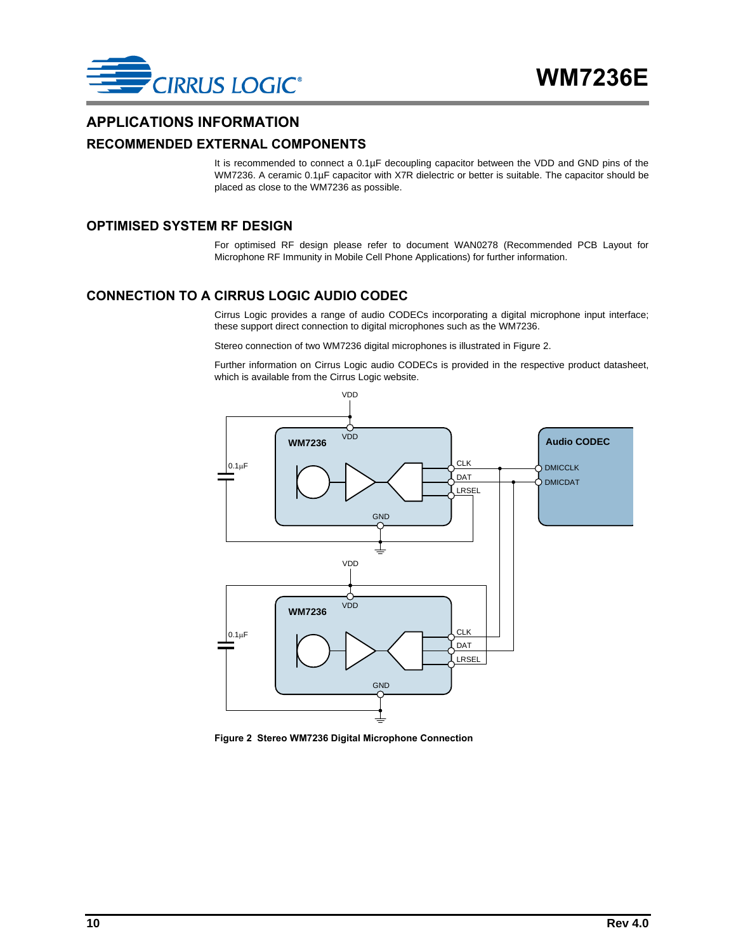

#### <span id="page-9-0"></span>**APPLICATIONS INFORMATION**

#### <span id="page-9-1"></span>**RECOMMENDED EXTERNAL COMPONENTS**

It is recommended to connect a 0.1µF decoupling capacitor between the VDD and GND pins of the WM7236. A ceramic 0.1µF capacitor with X7R dielectric or better is suitable. The capacitor should be placed as close to the WM7236 as possible.

#### <span id="page-9-2"></span>**OPTIMISED SYSTEM RF DESIGN**

For optimised RF design please refer to document WAN0278 (Recommended PCB Layout for Microphone RF Immunity in Mobile Cell Phone Applications) for further information.

#### <span id="page-9-3"></span>**CONNECTION TO A CIRRUS LOGIC AUDIO CODEC**

Cirrus Logic provides a range of audio CODECs incorporating a digital microphone input interface; these support direct connection to digital microphones such as the WM7236.

Stereo connection of two WM7236 digital microphones is illustrated in [Figure 2.](#page-9-4)

Further information on Cirrus Logic audio CODECs is provided in the respective product datasheet, which is available from the Cirrus Logic website.



<span id="page-9-4"></span>**Figure 2 Stereo WM7236 Digital Microphone Connection**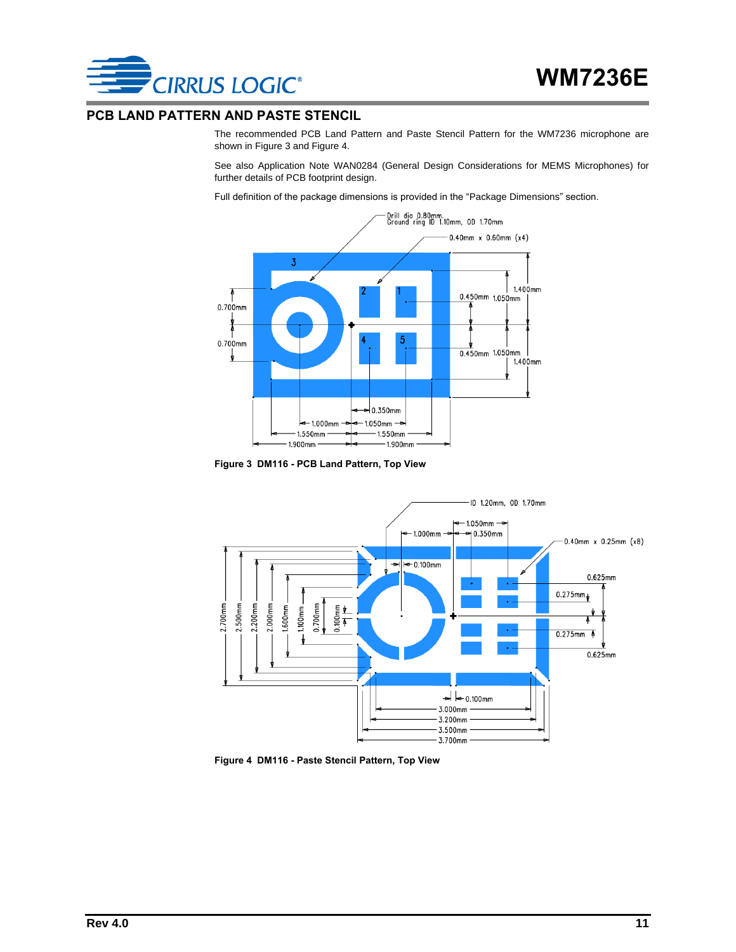

#### <span id="page-10-0"></span>**PCB LAND PATTERN AND PASTE STENCIL**

The recommended PCB Land Pattern and Paste Stencil Pattern for the WM7236 microphone are shown i[n Figure 3](#page-10-1) an[d Figure 4.](#page-10-2)

See also Application Note WAN0284 (General Design Considerations for MEMS Microphones) for further details of PCB footprint design.

Full definition of the package dimensions is provided in the ["Package Dimensions"](#page-11-0) section.



**Figure 3 DM116 - PCB Land Pattern, Top View**

<span id="page-10-1"></span>

<span id="page-10-2"></span>**Figure 4 DM116 - Paste Stencil Pattern, Top View**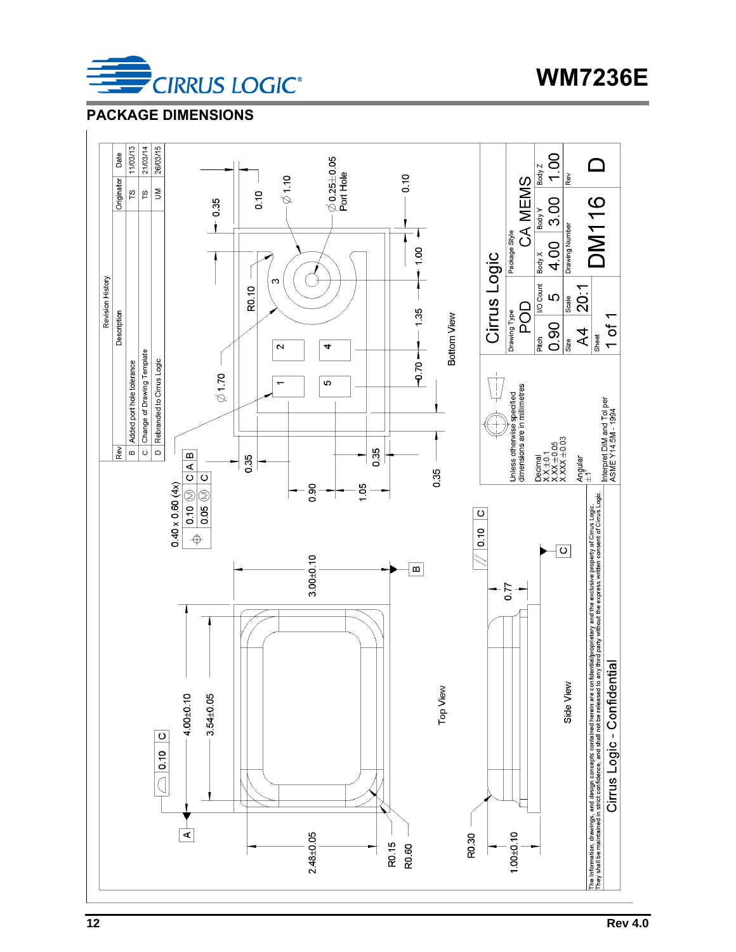

**WM7236E**

## <span id="page-11-0"></span>**PACKAGE DIMENSIONS**

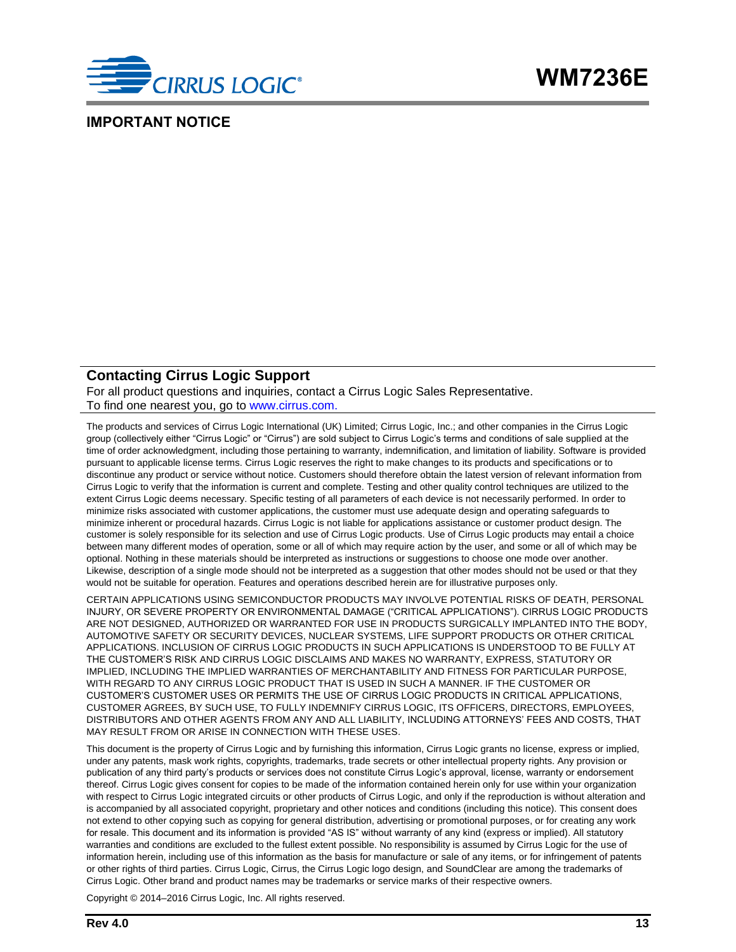

#### <span id="page-12-0"></span>**IMPORTANT NOTICE**

#### **Contacting Cirrus Logic Support**

For all product questions and inquiries, contact a Cirrus Logic Sales Representative. To find one nearest you, go to [www.cirrus.com.](http://www.cirrus.com/)

The products and services of Cirrus Logic International (UK) Limited; Cirrus Logic, Inc.; and other companies in the Cirrus Logic group (collectively either "Cirrus Logic" or "Cirrus") are sold subject to Cirrus Logic's terms and conditions of sale supplied at the time of order acknowledgment, including those pertaining to warranty, indemnification, and limitation of liability. Software is provided pursuant to applicable license terms. Cirrus Logic reserves the right to make changes to its products and specifications or to discontinue any product or service without notice. Customers should therefore obtain the latest version of relevant information from Cirrus Logic to verify that the information is current and complete. Testing and other quality control techniques are utilized to the extent Cirrus Logic deems necessary. Specific testing of all parameters of each device is not necessarily performed. In order to minimize risks associated with customer applications, the customer must use adequate design and operating safeguards to minimize inherent or procedural hazards. Cirrus Logic is not liable for applications assistance or customer product design. The customer is solely responsible for its selection and use of Cirrus Logic products. Use of Cirrus Logic products may entail a choice between many different modes of operation, some or all of which may require action by the user, and some or all of which may be optional. Nothing in these materials should be interpreted as instructions or suggestions to choose one mode over another. Likewise, description of a single mode should not be interpreted as a suggestion that other modes should not be used or that they would not be suitable for operation. Features and operations described herein are for illustrative purposes only.

CERTAIN APPLICATIONS USING SEMICONDUCTOR PRODUCTS MAY INVOLVE POTENTIAL RISKS OF DEATH, PERSONAL INJURY, OR SEVERE PROPERTY OR ENVIRONMENTAL DAMAGE ("CRITICAL APPLICATIONS"). CIRRUS LOGIC PRODUCTS ARE NOT DESIGNED, AUTHORIZED OR WARRANTED FOR USE IN PRODUCTS SURGICALLY IMPLANTED INTO THE BODY, AUTOMOTIVE SAFETY OR SECURITY DEVICES, NUCLEAR SYSTEMS, LIFE SUPPORT PRODUCTS OR OTHER CRITICAL APPLICATIONS. INCLUSION OF CIRRUS LOGIC PRODUCTS IN SUCH APPLICATIONS IS UNDERSTOOD TO BE FULLY AT THE CUSTOMER'S RISK AND CIRRUS LOGIC DISCLAIMS AND MAKES NO WARRANTY, EXPRESS, STATUTORY OR IMPLIED, INCLUDING THE IMPLIED WARRANTIES OF MERCHANTABILITY AND FITNESS FOR PARTICULAR PURPOSE, WITH REGARD TO ANY CIRRUS LOGIC PRODUCT THAT IS USED IN SUCH A MANNER. IF THE CUSTOMER OR CUSTOMER'S CUSTOMER USES OR PERMITS THE USE OF CIRRUS LOGIC PRODUCTS IN CRITICAL APPLICATIONS, CUSTOMER AGREES, BY SUCH USE, TO FULLY INDEMNIFY CIRRUS LOGIC, ITS OFFICERS, DIRECTORS, EMPLOYEES, DISTRIBUTORS AND OTHER AGENTS FROM ANY AND ALL LIABILITY, INCLUDING ATTORNEYS' FEES AND COSTS, THAT MAY RESULT FROM OR ARISE IN CONNECTION WITH THESE USES.

This document is the property of Cirrus Logic and by furnishing this information, Cirrus Logic grants no license, express or implied, under any patents, mask work rights, copyrights, trademarks, trade secrets or other intellectual property rights. Any provision or publication of any third party's products or services does not constitute Cirrus Logic's approval, license, warranty or endorsement thereof. Cirrus Logic gives consent for copies to be made of the information contained herein only for use within your organization with respect to Cirrus Logic integrated circuits or other products of Cirrus Logic, and only if the reproduction is without alteration and is accompanied by all associated copyright, proprietary and other notices and conditions (including this notice). This consent does not extend to other copying such as copying for general distribution, advertising or promotional purposes, or for creating any work for resale. This document and its information is provided "AS IS" without warranty of any kind (express or implied). All statutory warranties and conditions are excluded to the fullest extent possible. No responsibility is assumed by Cirrus Logic for the use of information herein, including use of this information as the basis for manufacture or sale of any items, or for infringement of patents or other rights of third parties. Cirrus Logic, Cirrus, the Cirrus Logic logo design, and SoundClear are among the trademarks of Cirrus Logic. Other brand and product names may be trademarks or service marks of their respective owners.

Copyright © 2014–2016 Cirrus Logic, Inc. All rights reserved.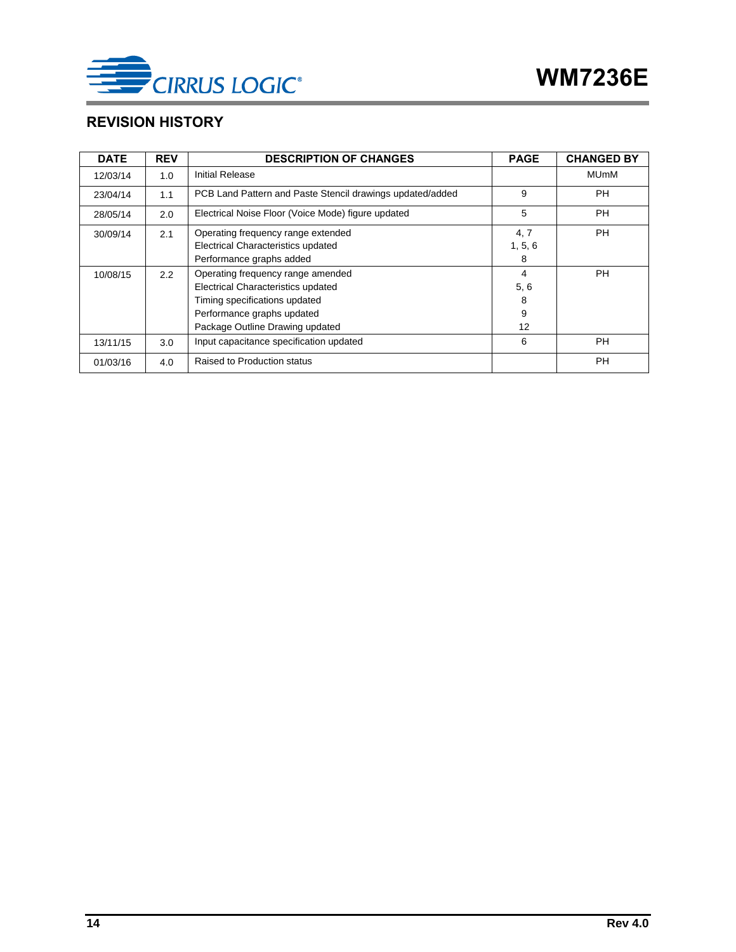

## <span id="page-13-0"></span>**REVISION HISTORY**

| <b>DATE</b> | <b>REV</b> | <b>DESCRIPTION OF CHANGES</b>                             | <b>PAGE</b> | <b>CHANGED BY</b> |
|-------------|------------|-----------------------------------------------------------|-------------|-------------------|
| 12/03/14    | 1.0        | Initial Release                                           |             | <b>MUmM</b>       |
| 23/04/14    | 1.1        | PCB Land Pattern and Paste Stencil drawings updated/added | 9           | PH                |
| 28/05/14    | 2.0        | Electrical Noise Floor (Voice Mode) figure updated        | 5           | <b>PH</b>         |
| 30/09/14    | 2.1        | Operating frequency range extended                        | 4, 7        | PH                |
|             |            | Electrical Characteristics updated                        | 1, 5, 6     |                   |
|             |            | Performance graphs added                                  | 8           |                   |
| 10/08/15    | 2.2        | Operating frequency range amended                         | 4           | <b>PH</b>         |
|             |            | Electrical Characteristics updated                        | 5, 6        |                   |
|             |            | Timing specifications updated                             | 8           |                   |
|             |            | Performance graphs updated                                | 9           |                   |
|             |            | Package Outline Drawing updated                           | 12          |                   |
| 13/11/15    | 3.0        | Input capacitance specification updated                   | 6           | <b>PH</b>         |
| 01/03/16    | 4.0        | Raised to Production status                               |             | <b>PH</b>         |